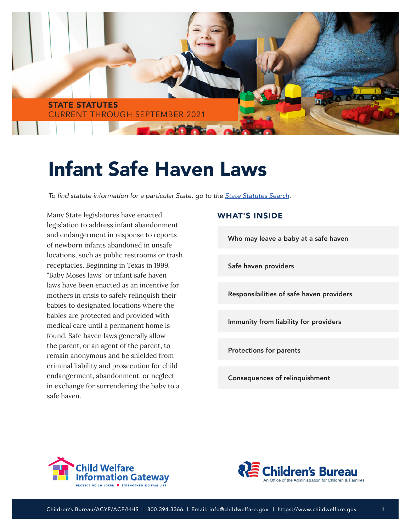

# Infant Safe Haven Laws

To find statute information for a particular State, go to the [State Statutes Search](https://www.childwelfare.gov/topics/systemwide/laws-policies/state/)*.* 

Many State legislatures have enacted legislation to address infant abandonment and endangerment in response to reports of newborn infants abandoned in unsafe locations, such as public restrooms or trash receptacles. Beginning in Texas in 1999, "Baby Moses laws" or infant safe haven laws have been enacted as an incentive for mothers in crisis to safely relinquish their babies to designated locations where the babies are protected and provided with medical care until a permanent home is found. Safe haven laws generally allow the parent, or an agent of the parent, to remain anonymous and be shielded from criminal liability and prosecution for child endangerment, abandonment, or neglect in exchange for surrendering the baby to a safe haven.

#### WHAT'S INSIDE

[Who may leave a baby at a safe haven](#page-1-0)

[Safe haven providers](#page-1-0)

[Responsibilities of safe haven providers](#page-2-0)

[Immunity from liability for providers](#page-3-0)

[Protections for parents](#page-3-0)

[Consequences of relinquishment](#page-3-0)



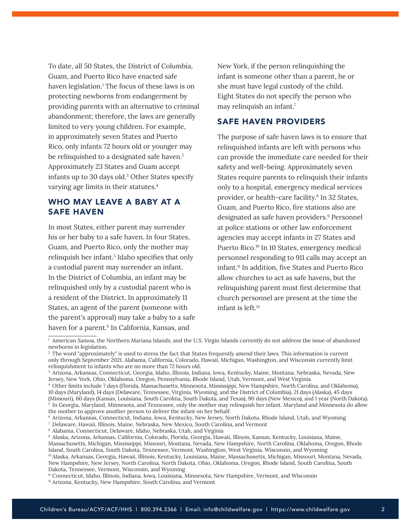<span id="page-1-0"></span>To date, all 50 States, the District of Columbia, Guam, and Puerto Rico have enacted safe haven legislation.<sup>1</sup> The focus of these laws is on protecting newborns from endangerment by providing parents with an alternative to criminal abandonment; therefore, the laws are generally limited to very young children. For example, in approximately seven States and Puerto Rico, only infants 72 hours old or younger may be relinquished to a designated safe haven.<sup>2</sup> Approximately 23 States and Guam accept infants up to 30 days old.3 Other States specify varying age limits in their statutes.4

# WHO MAY LEAVE A BABY AT A SAFE HAVEN

In most States, either parent may surrender his or her baby to a safe haven. In four States, Guam, and Puerto Rico, only the mother may relinquish her infant.<sup>5</sup> Idaho specifies that only a custodial parent may surrender an infant. In the District of Columbia, an infant may be relinquished only by a custodial parent who is a resident of the District. In approximately 11 States, an agent of the parent (someone with the parent's approval) may take a baby to a safe haven for a parent.<sup>6</sup> In California, Kansas, and

New York, if the person relinquishing the infant is someone other than a parent, he or she must have legal custody of the child. Eight States do not specify the person who may relinquish an infant.7

## SAFE HAVEN PROVIDERS

The purpose of safe haven laws is to ensure that relinquished infants are left with persons who can provide the immediate care needed for their safety and well-being. Approximately seven States require parents to relinquish their infants only to a hospital, emergency medical services provider, or health-care facility.8 In 32 States, Guam, and Puerto Rico, fire stations also are designated as safe haven providers.<sup>9</sup> Personnel at police stations or other law enforcement agencies may accept infants in 27 States and Puerto Rico.<sup>10</sup> In 10 States, emergency medical personnel responding to 911 calls may accept an infant.11 In addition, five States and Puerto Rico allow churches to act as safe havens, but the relinquishing parent must first determine that church personnel are present at the time the infant is left.12

the mother to approve another person to deliver the infant on her behalf.

 $<sup>1</sup>$  American Samoa, the Northern Mariana Islands, and the U.S. Virgin Islands currently do not address the issue of abandoned</sup> newborns in legislation.

<sup>&</sup>lt;sup>2</sup> The word "approximately" is used to stress the fact that States frequently amend their laws. This information is current only through September 2021. Alabama, California, Colorado, Hawaii, Michigan, Washington, and Wisconsin currently limit relinquishment to infants who are no more than 72 hours old.

<sup>3</sup> Arizona, Arkansas, Connecticut, Georgia, Idaho, Illinois, Indiana, Iowa, Kentucky, Maine, Montana, Nebraska, Nevada, New Jersey, New York, Ohio, Oklahoma, Oregon, Pennsylvania, Rhode Island, Utah, Vermont, and West Virginia

<sup>4</sup> Other limits include 7 days (Florida, Massachusetts, Minnesota, Mississippi, New Hampshire, North Carolina, and Oklahoma), 10 days (Maryland), 14 days (Delaware, Tennessee, Virginia, Wyoming, and the District of Columbia), 21 days (Alaska), 45 days (Missouri), 60 days (Kansas, Louisiana, South Carolina, South Dakota, and Texas), 90 days (New Mexico), and 1 year (North Dakota).  $5$  In Georgia, Maryland, Minnesota, and Tennessee, only the mother may relinquish her infant. Maryland and Minnesota do allow

<sup>6</sup> Arizona, Arkansas, Connecticut, Indiana, Iowa, Kentucky, New Jersey, North Dakota, Rhode Island, Utah, and Wyoming

<sup>7</sup> Delaware, Hawaii, Illinois, Maine, Nebraska, New Mexico, South Carolina, and Vermont

<sup>8</sup> Alabama, Connecticut, Delaware, Idaho, Nebraska, Utah, and Virginia

<sup>9</sup> Alaska, Arizona, Arkansas, California, Colorado, Florida, Georgia, Hawaii, Illinois, Kansas, Kentucky, Louisiana, Maine,

Massachusetts, Michigan, Mississippi, Missouri, Montana, Nevada, New Hampshire, North Carolina, Oklahoma, Oregon, Rhode Island, South Carolina, South Dakota, Tennessee, Vermont, Washington, West Virginia, Wisconsin, and Wyoming

<sup>10</sup> Alaska, Arkansas, Georgia, Hawaii, Illinois, Kentucky, Louisiana, Maine, Massachusetts, Michigan, Missouri, Montana, Nevada, New Hampshire, New Jersey, North Carolina, North Dakota, Ohio, Oklahoma, Oregon, Rhode Island, South Carolina, South Dakota, Tennessee, Vermont, Wisconsin, and Wyoming

<sup>11</sup> Connecticut, Idaho, Illinois, Indiana, Iowa, Louisiana, Minnesota, New Hampshire, Vermont, and Wisconsin

<sup>&</sup>lt;sup>12</sup> Arizona, Kentucky, New Hampshire, South Carolina, and Vermont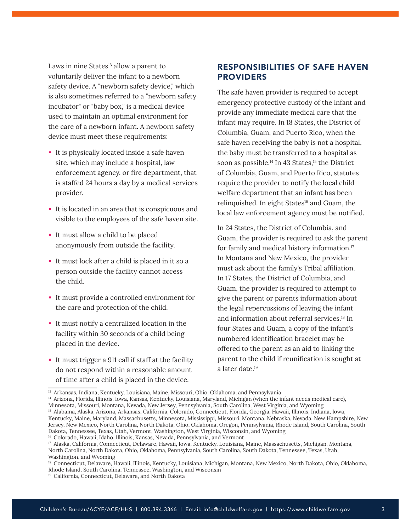<span id="page-2-0"></span>Laws in nine States<sup>13</sup> allow a parent to voluntarily deliver the infant to a newborn safety device. A "newborn safety device," which is also sometimes referred to a "newborn safety incubator" or "baby box," is a medical device used to maintain an optimal environment for the care of a newborn infant. A newborn safety device must meet these requirements:

- It is physically located inside a safe haven site, which may include a hospital, law enforcement agency, or fire department, that is staffed 24 hours a day by a medical services provider.
- It is located in an area that is conspicuous and visible to the employees of the safe haven site.
- It must allow a child to be placed anonymously from outside the facility.
- It must lock after a child is placed in it so a person outside the facility cannot access the child.
- It must provide a controlled environment for the care and protection of the child.
- It must notify a centralized location in the facility within 30 seconds of a child being placed in the device.
- It must trigger a 911 call if staff at the facility do not respond within a reasonable amount of time after a child is placed in the device.

# RESPONSIBILITIES OF SAFE HAVEN **PROVIDERS**

The safe haven provider is required to accept emergency protective custody of the infant and provide any immediate medical care that the infant may require. In 18 States, the District of Columbia, Guam, and Puerto Rico, when the safe haven receiving the baby is not a hospital, the baby must be transferred to a hospital as soon as possible.<sup>14</sup> In 43 States,<sup>15</sup> the District of Columbia, Guam, and Puerto Rico, statutes require the provider to notify the local child welfare department that an infant has been relinquished. In eight States<sup>16</sup> and Guam, the local law enforcement agency must be notified.

In 24 States, the District of Columbia, and Guam, the provider is required to ask the parent for family and medical history information.17 In Montana and New Mexico, the provider must ask about the family's Tribal affiliation. In 17 States, the District of Columbia, and Guam, the provider is required to attempt to give the parent or parents information about the legal repercussions of leaving the infant and information about referral services.<sup>18</sup> In four States and Guam, a copy of the infant's numbered identification bracelet may be offered to the parent as an aid to linking the parent to the child if reunification is sought at a later date.19

<sup>13</sup> Arkansas, Indiana, Kentucky, Louisiana, Maine, Missouri, Ohio, Oklahoma, and Pennsylvania

<sup>&</sup>lt;sup>14</sup> Arizona, Florida, Illinois, Iowa, Kansas, Kentucky, Louisiana, Maryland, Michigan (when the infant needs medical care), Minnesota, Missouri, Montana, Nevada, New Jersey, Pennsylvania, South Carolina, West Virginia, and Wyoming

<sup>15</sup> Alabama, Alaska, Arizona, Arkansas, California, Colorado, Connecticut, Florida, Georgia, Hawaii, Illinois, Indiana, Iowa,

Kentucky, Maine, Maryland, Massachusetts, Minnesota, Mississippi, Missouri, Montana, Nebraska, Nevada, New Hampshire, New Jersey, New Mexico, North Carolina, North Dakota, Ohio, Oklahoma, Oregon, Pennsylvania, Rhode Island, South Carolina, South Dakota, Tennessee, Texas, Utah, Vermont, Washington, West Virginia, Wisconsin, and Wyoming

<sup>&</sup>lt;sup>16</sup> Colorado, Hawaii, Idaho, Illinois, Kansas, Nevada, Pennsylvania, and Vermont

<sup>17</sup> Alaska, California, Connecticut, Delaware, Hawaii, Iowa, Kentucky, Louisiana, Maine, Massachusetts, Michigan, Montana, North Carolina, North Dakota, Ohio, Oklahoma, Pennsylvania, South Carolina, South Dakota, Tennessee, Texas, Utah, Washington, and Wyoming

<sup>18</sup> Connecticut, Delaware, Hawaii, Illinois, Kentucky, Louisiana, Michigan, Montana, New Mexico, North Dakota, Ohio, Oklahoma, Rhode Island, South Carolina, Tennessee, Washington, and Wisconsin

<sup>19</sup> California, Connecticut, Delaware, and North Dakota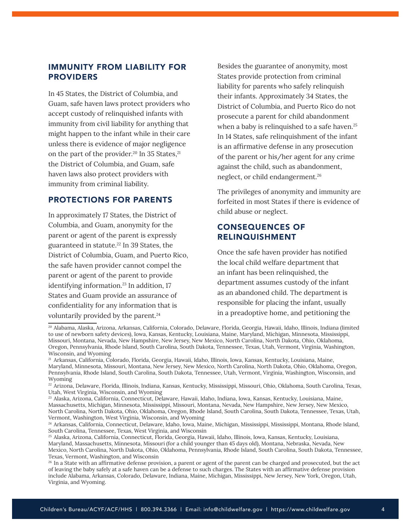# <span id="page-3-0"></span>IMMUNITY FROM LIABILITY FOR **PROVIDERS**

In 45 States, the District of Columbia, and Guam, safe haven laws protect providers who accept custody of relinquished infants with immunity from civil liability for anything that might happen to the infant while in their care unless there is evidence of major negligence on the part of the provider.<sup>20</sup> In 35 States,<sup>21</sup> the District of Columbia, and Guam, safe haven laws also protect providers with immunity from criminal liability.

#### PROTECTIONS FOR PARENTS

In approximately 17 States, the District of Columbia, and Guam, anonymity for the parent or agent of the parent is expressly guaranteed in statute.22 In 39 States, the District of Columbia, Guam, and Puerto Rico, the safe haven provider cannot compel the parent or agent of the parent to provide identifying information.<sup>23</sup> In addition, 17 States and Guam provide an assurance of confidentiality for any information that is voluntarily provided by the parent.<sup>24</sup>

Besides the guarantee of anonymity, most States provide protection from criminal liability for parents who safely relinquish their infants. Approximately 34 States, the District of Columbia, and Puerto Rico do not prosecute a parent for child abandonment when a baby is relinquished to a safe haven.<sup>25</sup> In 14 States, safe relinquishment of the infant is an affirmative defense in any prosecution of the parent or his/her agent for any crime against the child, such as abandonment, neglect, or child endangerment.26

The privileges of anonymity and immunity are forfeited in most States if there is evidence of child abuse or neglect.

## CONSEQUENCES OF RELINQUISHMENT

Once the safe haven provider has notified the local child welfare department that an infant has been relinquished, the department assumes custody of the infant as an abandoned child. The department is responsible for placing the infant, usually in a preadoptive home, and petitioning the

<sup>20</sup> Alabama, Alaska, Arizona, Arkansas, California, Colorado, Delaware, Florida, Georgia, Hawaii, Idaho, Illinois, Indiana (limited to use of newborn safety devices), Iowa, Kansas, Kentucky, Louisiana, Maine, Maryland, Michigan, Minnesota, Mississippi, Missouri, Montana, Nevada, New Hampshire, New Jersey, New Mexico, North Carolina, North Dakota, Ohio, Oklahoma, Oregon, Pennsylvania, Rhode Island, South Carolina, South Dakota, Tennessee, Texas, Utah, Vermont, Virginia, Washington, Wisconsin, and Wyoming

<sup>21</sup> Arkansas, California, Colorado, Florida, Georgia, Hawaii, Idaho, Illinois, Iowa, Kansas, Kentucky, Louisiana, Maine, Maryland, Minnesota, Missouri, Montana, New Jersey, New Mexico, North Carolina, North Dakota, Ohio, Oklahoma, Oregon, Pennsylvania, Rhode Island, South Carolina, South Dakota, Tennessee, Utah, Vermont, Virginia, Washington, Wisconsin, and Wyoming

<sup>22</sup> Arizona, Delaware, Florida, Illinois, Indiana, Kansas, Kentucky, Mississippi, Missouri, Ohio, Oklahoma, South Carolina, Texas, Utah, West Virginia, Wisconsin, and Wyoming

<sup>23</sup> Alaska, Arizona, California, Connecticut, Delaware, Hawaii, Idaho, Indiana, Iowa, Kansas, Kentucky, Louisiana, Maine, Massachusetts, Michigan, Minnesota, Mississippi, Missouri, Montana, Nevada, New Hampshire, New Jersey, New Mexico, North Carolina, North Dakota, Ohio, Oklahoma, Oregon, Rhode Island, South Carolina, South Dakota, Tennessee, Texas, Utah, Vermont, Washington, West Virginia, Wisconsin, and Wyoming

<sup>24</sup> Arkansas, California, Connecticut, Delaware, Idaho, Iowa, Maine, Michigan, Mississippi, Mississippi, Montana, Rhode Island, South Carolina, Tennessee, Texas, West Virginia, and Wisconsin

<sup>25</sup> Alaska, Arizona, California, Connecticut, Florida, Georgia, Hawaii, Idaho, Illinois, Iowa, Kansas, Kentucky, Louisiana, Maryland, Massachusetts, Minnesota, Missouri (for a child younger than 45 days old), Montana, Nebraska, Nevada, New Mexico, North Carolina, North Dakota, Ohio, Oklahoma, Pennsylvania, Rhode Island, South Carolina, South Dakota, Tennessee, Texas, Vermont, Washington, and Wisconsin

<sup>&</sup>lt;sup>26</sup> In a State with an affirmative defense provision, a parent or agent of the parent can be charged and prosecuted, but the act of leaving the baby safely at a safe haven can be a defense to such charges. The States with an affirmative defense provision include Alabama, Arkansas, Colorado, Delaware, Indiana, Maine, Michigan, Mississippi, New Jersey, New York, Oregon, Utah, Virginia, and Wyoming.